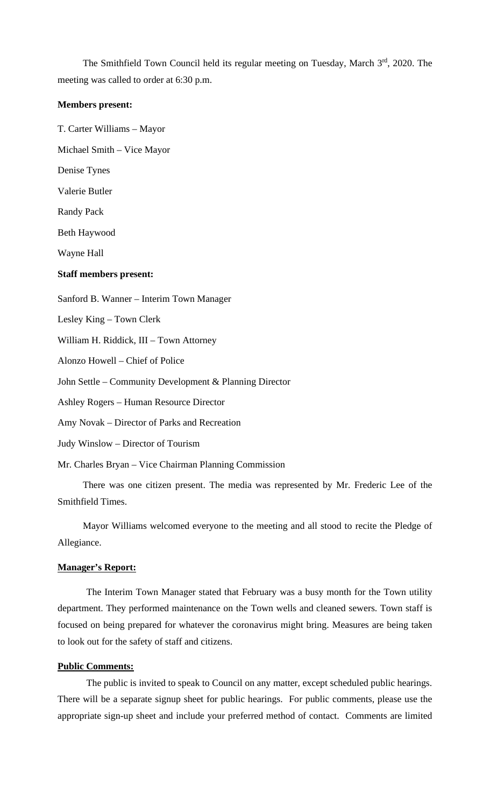The Smithfield Town Council held its regular meeting on Tuesday, March 3rd, 2020. The meeting was called to order at 6:30 p.m.

#### **Members present:**

T. Carter Williams – Mayor

Michael Smith – Vice Mayor

Denise Tynes

Valerie Butler

Randy Pack

Beth Haywood

Wayne Hall

#### **Staff members present:**

Sanford B. Wanner – Interim Town Manager Lesley King – Town Clerk William H. Riddick, III – Town Attorney Alonzo Howell – Chief of Police John Settle – Community Development & Planning Director Ashley Rogers – Human Resource Director Amy Novak – Director of Parks and Recreation Judy Winslow – Director of Tourism Mr. Charles Bryan – Vice Chairman Planning Commission

There was one citizen present. The media was represented by Mr. Frederic Lee of the Smithfield Times.

Mayor Williams welcomed everyone to the meeting and all stood to recite the Pledge of Allegiance.

### **Manager's Report:**

The Interim Town Manager stated that February was a busy month for the Town utility department. They performed maintenance on the Town wells and cleaned sewers. Town staff is focused on being prepared for whatever the coronavirus might bring. Measures are being taken to look out for the safety of staff and citizens.

### **Public Comments:**

The public is invited to speak to Council on any matter, except scheduled public hearings. There will be a separate signup sheet for public hearings. For public comments, please use the appropriate sign-up sheet and include your preferred method of contact. Comments are limited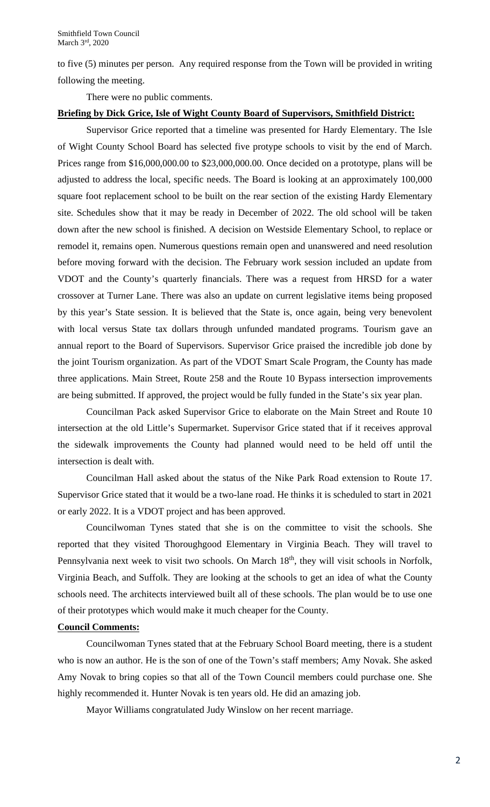to five (5) minutes per person. Any required response from the Town will be provided in writing following the meeting.

There were no public comments.

### **Briefing by Dick Grice, Isle of Wight County Board of Supervisors, Smithfield District:**

Supervisor Grice reported that a timeline was presented for Hardy Elementary. The Isle of Wight County School Board has selected five protype schools to visit by the end of March. Prices range from \$16,000,000.00 to \$23,000,000.00. Once decided on a prototype, plans will be adjusted to address the local, specific needs. The Board is looking at an approximately 100,000 square foot replacement school to be built on the rear section of the existing Hardy Elementary site. Schedules show that it may be ready in December of 2022. The old school will be taken down after the new school is finished. A decision on Westside Elementary School, to replace or remodel it, remains open. Numerous questions remain open and unanswered and need resolution before moving forward with the decision. The February work session included an update from VDOT and the County's quarterly financials. There was a request from HRSD for a water crossover at Turner Lane. There was also an update on current legislative items being proposed by this year's State session. It is believed that the State is, once again, being very benevolent with local versus State tax dollars through unfunded mandated programs. Tourism gave an annual report to the Board of Supervisors. Supervisor Grice praised the incredible job done by the joint Tourism organization. As part of the VDOT Smart Scale Program, the County has made three applications. Main Street, Route 258 and the Route 10 Bypass intersection improvements are being submitted. If approved, the project would be fully funded in the State's six year plan.

Councilman Pack asked Supervisor Grice to elaborate on the Main Street and Route 10 intersection at the old Little's Supermarket. Supervisor Grice stated that if it receives approval the sidewalk improvements the County had planned would need to be held off until the intersection is dealt with.

Councilman Hall asked about the status of the Nike Park Road extension to Route 17. Supervisor Grice stated that it would be a two-lane road. He thinks it is scheduled to start in 2021 or early 2022. It is a VDOT project and has been approved.

Councilwoman Tynes stated that she is on the committee to visit the schools. She reported that they visited Thoroughgood Elementary in Virginia Beach. They will travel to Pennsylvania next week to visit two schools. On March 18<sup>th</sup>, they will visit schools in Norfolk, Virginia Beach, and Suffolk. They are looking at the schools to get an idea of what the County schools need. The architects interviewed built all of these schools. The plan would be to use one of their prototypes which would make it much cheaper for the County.

### **Council Comments:**

Councilwoman Tynes stated that at the February School Board meeting, there is a student who is now an author. He is the son of one of the Town's staff members; Amy Novak. She asked Amy Novak to bring copies so that all of the Town Council members could purchase one. She highly recommended it. Hunter Novak is ten years old. He did an amazing job.

Mayor Williams congratulated Judy Winslow on her recent marriage.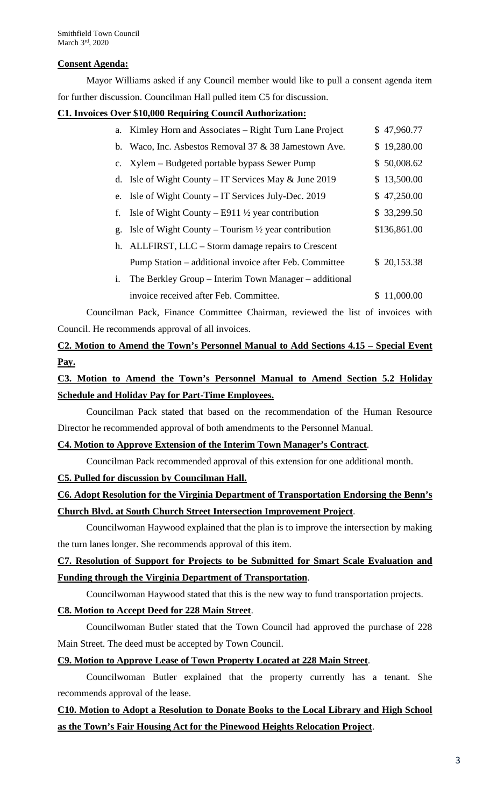## **Consent Agenda:**

Mayor Williams asked if any Council member would like to pull a consent agenda item for further discussion. Councilman Hall pulled item C5 for discussion.

## **C1. Invoices Over \$10,000 Requiring Council Authorization:**

|    | a. Kimley Horn and Associates – Right Turn Lane Project        | \$47,960.77     |
|----|----------------------------------------------------------------|-----------------|
| b. | Waco, Inc. Asbestos Removal 37 & 38 Jamestown Ave.             | \$19,280.00     |
|    | c. Xylem – Budgeted portable bypass Sewer Pump                 | \$50,008.62     |
|    | d. Isle of Wight County – IT Services May $&$ June 2019        | \$13,500.00     |
|    | e. Isle of Wight County – IT Services July-Dec. 2019           | \$47,250.00     |
| f. | Isle of Wight County – E911 $\frac{1}{2}$ year contribution    | \$33,299.50     |
| g. | Isle of Wight County – Tourism $\frac{1}{2}$ year contribution | \$136,861.00    |
|    | h. ALLFIRST, LLC – Storm damage repairs to Crescent            |                 |
|    | Pump Station – additional invoice after Feb. Committee         | \$20,153.38     |
| i. | The Berkley Group – Interim Town Manager – additional          |                 |
|    | invoice received after Feb. Committee.                         | 11,000.00<br>S. |

Councilman Pack, Finance Committee Chairman, reviewed the list of invoices with Council. He recommends approval of all invoices.

**C2. Motion to Amend the Town's Personnel Manual to Add Sections 4.15 – Special Event Pay.** 

# **C3. Motion to Amend the Town's Personnel Manual to Amend Section 5.2 Holiday Schedule and Holiday Pay for Part-Time Employees.**

Councilman Pack stated that based on the recommendation of the Human Resource Director he recommended approval of both amendments to the Personnel Manual.

## **C4. Motion to Approve Extension of the Interim Town Manager's Contract**.

Councilman Pack recommended approval of this extension for one additional month.

## **C5. Pulled for discussion by Councilman Hall.**

# **C6. Adopt Resolution for the Virginia Department of Transportation Endorsing the Benn's Church Blvd. at South Church Street Intersection Improvement Project**.

Councilwoman Haywood explained that the plan is to improve the intersection by making the turn lanes longer. She recommends approval of this item.

# **C7. Resolution of Support for Projects to be Submitted for Smart Scale Evaluation and Funding through the Virginia Department of Transportation**.

Councilwoman Haywood stated that this is the new way to fund transportation projects.

## **C8. Motion to Accept Deed for 228 Main Street**.

Councilwoman Butler stated that the Town Council had approved the purchase of 228 Main Street. The deed must be accepted by Town Council.

## **C9. Motion to Approve Lease of Town Property Located at 228 Main Street**.

Councilwoman Butler explained that the property currently has a tenant. She recommends approval of the lease.

# **C10. Motion to Adopt a Resolution to Donate Books to the Local Library and High School as the Town's Fair Housing Act for the Pinewood Heights Relocation Project**.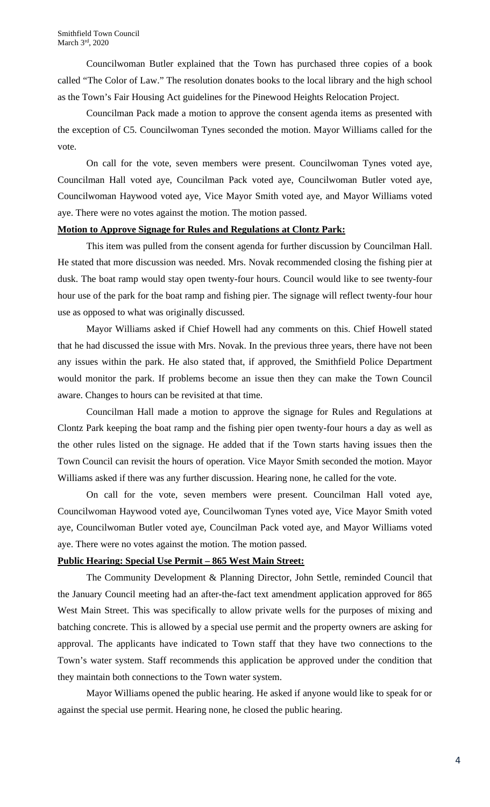Councilwoman Butler explained that the Town has purchased three copies of a book called "The Color of Law." The resolution donates books to the local library and the high school as the Town's Fair Housing Act guidelines for the Pinewood Heights Relocation Project.

Councilman Pack made a motion to approve the consent agenda items as presented with the exception of C5. Councilwoman Tynes seconded the motion. Mayor Williams called for the vote.

On call for the vote, seven members were present. Councilwoman Tynes voted aye, Councilman Hall voted aye, Councilman Pack voted aye, Councilwoman Butler voted aye, Councilwoman Haywood voted aye, Vice Mayor Smith voted aye, and Mayor Williams voted aye. There were no votes against the motion. The motion passed.

### **Motion to Approve Signage for Rules and Regulations at Clontz Park:**

This item was pulled from the consent agenda for further discussion by Councilman Hall. He stated that more discussion was needed. Mrs. Novak recommended closing the fishing pier at dusk. The boat ramp would stay open twenty-four hours. Council would like to see twenty-four hour use of the park for the boat ramp and fishing pier. The signage will reflect twenty-four hour use as opposed to what was originally discussed.

Mayor Williams asked if Chief Howell had any comments on this. Chief Howell stated that he had discussed the issue with Mrs. Novak. In the previous three years, there have not been any issues within the park. He also stated that, if approved, the Smithfield Police Department would monitor the park. If problems become an issue then they can make the Town Council aware. Changes to hours can be revisited at that time.

Councilman Hall made a motion to approve the signage for Rules and Regulations at Clontz Park keeping the boat ramp and the fishing pier open twenty-four hours a day as well as the other rules listed on the signage. He added that if the Town starts having issues then the Town Council can revisit the hours of operation. Vice Mayor Smith seconded the motion. Mayor Williams asked if there was any further discussion. Hearing none, he called for the vote.

On call for the vote, seven members were present. Councilman Hall voted aye, Councilwoman Haywood voted aye, Councilwoman Tynes voted aye, Vice Mayor Smith voted aye, Councilwoman Butler voted aye, Councilman Pack voted aye, and Mayor Williams voted aye. There were no votes against the motion. The motion passed.

### **Public Hearing: Special Use Permit – 865 West Main Street:**

The Community Development & Planning Director, John Settle, reminded Council that the January Council meeting had an after-the-fact text amendment application approved for 865 West Main Street. This was specifically to allow private wells for the purposes of mixing and batching concrete. This is allowed by a special use permit and the property owners are asking for approval. The applicants have indicated to Town staff that they have two connections to the Town's water system. Staff recommends this application be approved under the condition that they maintain both connections to the Town water system.

Mayor Williams opened the public hearing. He asked if anyone would like to speak for or against the special use permit. Hearing none, he closed the public hearing.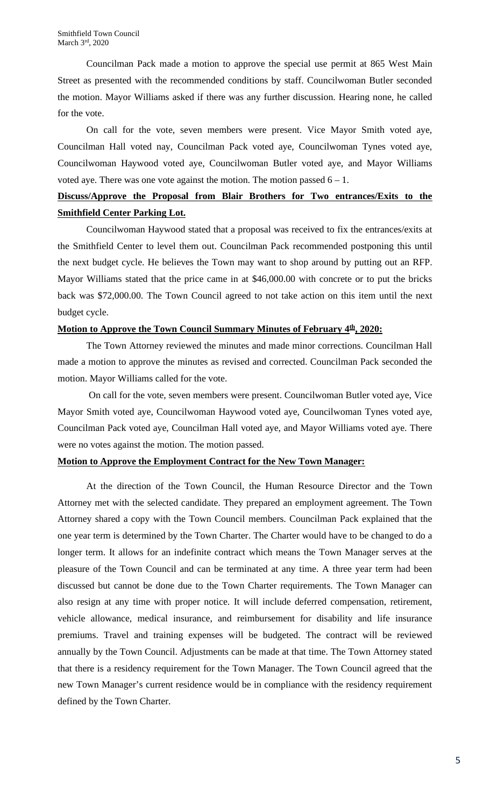Councilman Pack made a motion to approve the special use permit at 865 West Main Street as presented with the recommended conditions by staff. Councilwoman Butler seconded the motion. Mayor Williams asked if there was any further discussion. Hearing none, he called for the vote.

On call for the vote, seven members were present. Vice Mayor Smith voted aye, Councilman Hall voted nay, Councilman Pack voted aye, Councilwoman Tynes voted aye, Councilwoman Haywood voted aye, Councilwoman Butler voted aye, and Mayor Williams voted aye. There was one vote against the motion. The motion passed  $6 - 1$ .

## **Discuss/Approve the Proposal from Blair Brothers for Two entrances/Exits to the Smithfield Center Parking Lot.**

Councilwoman Haywood stated that a proposal was received to fix the entrances/exits at the Smithfield Center to level them out. Councilman Pack recommended postponing this until the next budget cycle. He believes the Town may want to shop around by putting out an RFP. Mayor Williams stated that the price came in at \$46,000.00 with concrete or to put the bricks back was \$72,000.00. The Town Council agreed to not take action on this item until the next budget cycle.

## **Motion to Approve the Town Council Summary Minutes of February 4<sup>th</sup>, 2020:**

The Town Attorney reviewed the minutes and made minor corrections. Councilman Hall made a motion to approve the minutes as revised and corrected. Councilman Pack seconded the motion. Mayor Williams called for the vote.

On call for the vote, seven members were present. Councilwoman Butler voted aye, Vice Mayor Smith voted aye, Councilwoman Haywood voted aye, Councilwoman Tynes voted aye, Councilman Pack voted aye, Councilman Hall voted aye, and Mayor Williams voted aye. There were no votes against the motion. The motion passed.

## **Motion to Approve the Employment Contract for the New Town Manager:**

At the direction of the Town Council, the Human Resource Director and the Town Attorney met with the selected candidate. They prepared an employment agreement. The Town Attorney shared a copy with the Town Council members. Councilman Pack explained that the one year term is determined by the Town Charter. The Charter would have to be changed to do a longer term. It allows for an indefinite contract which means the Town Manager serves at the pleasure of the Town Council and can be terminated at any time. A three year term had been discussed but cannot be done due to the Town Charter requirements. The Town Manager can also resign at any time with proper notice. It will include deferred compensation, retirement, vehicle allowance, medical insurance, and reimbursement for disability and life insurance premiums. Travel and training expenses will be budgeted. The contract will be reviewed annually by the Town Council. Adjustments can be made at that time. The Town Attorney stated that there is a residency requirement for the Town Manager. The Town Council agreed that the new Town Manager's current residence would be in compliance with the residency requirement defined by the Town Charter.